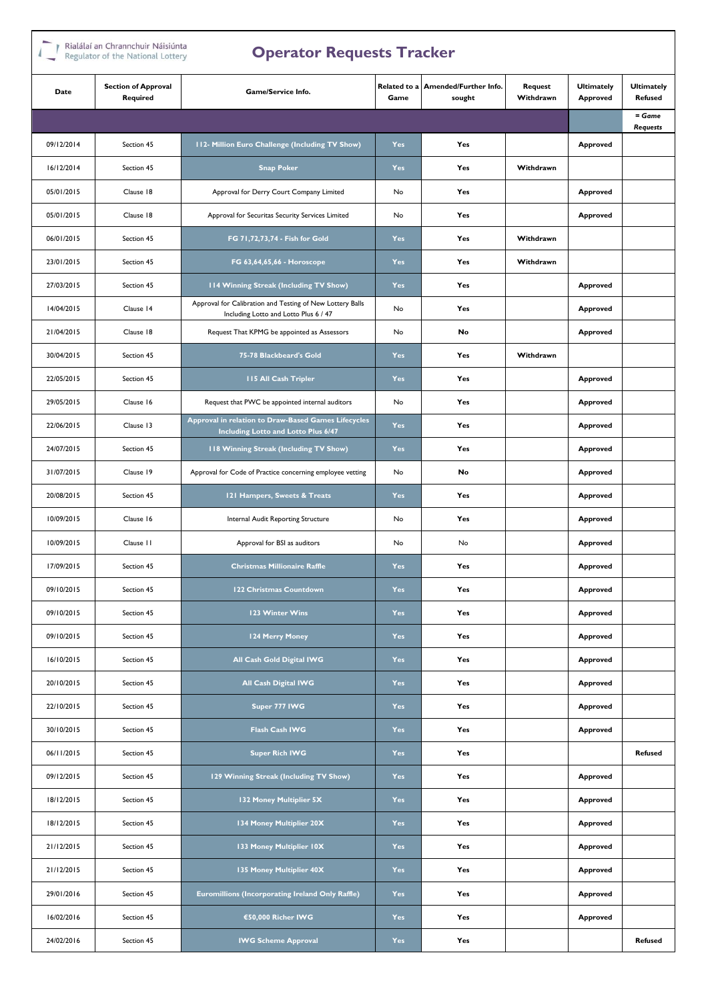## Rialálaí an Chrannchuir Náisiúnta

| Regulator or the National Lottery<br>$\triangleright$ per ator inequests in action |                                        |                                                                                                    |                      |                                 |                      |                               |                                     |
|------------------------------------------------------------------------------------|----------------------------------------|----------------------------------------------------------------------------------------------------|----------------------|---------------------------------|----------------------|-------------------------------|-------------------------------------|
| Date                                                                               | <b>Section of Approval</b><br>Required | Game/Service Info.                                                                                 | Related to a<br>Game | Amended/Further Info.<br>sought | Request<br>Withdrawn | <b>Ultimately</b><br>Approved | <b>Ultimately</b><br><b>Refused</b> |
|                                                                                    |                                        |                                                                                                    |                      |                                 |                      |                               | $=$ Game<br><b>Requests</b>         |
| 09/12/2014                                                                         | Section 45                             | 112- Million Euro Challenge (Including TV Show)                                                    | <b>Yes</b>           | Yes                             |                      | Approved                      |                                     |
| 16/12/2014                                                                         | Section 45                             | <b>Snap Poker</b>                                                                                  | <b>Yes</b>           | Yes                             | Withdrawn            |                               |                                     |
| 05/01/2015                                                                         | Clause 18                              | Approval for Derry Court Company Limited                                                           | No                   | Yes                             |                      | Approved                      |                                     |
| 05/01/2015                                                                         | Clause 18                              | Approval for Securitas Security Services Limited                                                   | No                   | Yes                             |                      | Approved                      |                                     |
| 06/01/2015                                                                         | Section 45                             | FG 71,72,73,74 - Fish for Gold                                                                     | <b>Yes</b>           | Yes                             | Withdrawn            |                               |                                     |
| 23/01/2015                                                                         | Section 45                             | FG 63,64,65,66 - Horoscope                                                                         | Yes                  | Yes                             | Withdrawn            |                               |                                     |
| 27/03/2015                                                                         | Section 45                             | 114 Winning Streak (Including TV Show)                                                             | Yes                  | Yes                             |                      | Approved                      |                                     |
| 14/04/2015                                                                         | Clause 14                              | Approval for Calibration and Testing of New Lottery Balls<br>Including Lotto and Lotto Plus 6 / 47 | No                   | Yes                             |                      | Approved                      |                                     |
| 21/04/2015                                                                         | Clause 18                              | Request That KPMG be appointed as Assessors                                                        | No                   | No                              |                      | Approved                      |                                     |
| 30/04/2015                                                                         | Section 45                             | 75-78 Blackbeard's Gold                                                                            | <b>Yes</b>           | Yes                             | Withdrawn            |                               |                                     |
| 22/05/2015                                                                         | Section 45                             | <b>115 All Cash Tripler</b>                                                                        | Yes                  | Yes                             |                      | Approved                      |                                     |
| 29/05/2015                                                                         | Clause 16                              | Request that PWC be appointed internal auditors                                                    |                      | Yes                             |                      | Approved                      |                                     |
| 22/06/2015                                                                         | Clause 13                              | Approval in relation to Draw-Based Games Lifecycles<br>Including Lotto and Lotto Plus 6/47         | Yes                  | Yes                             |                      | Approved                      |                                     |
| 24/07/2015                                                                         | Section 45                             | 118 Winning Streak (Including TV Show)                                                             |                      | Yes                             |                      | Approved                      |                                     |
| 31/07/2015                                                                         | Clause 19                              | Approval for Code of Practice concerning employee vetting                                          |                      | No                              |                      | Approved                      |                                     |
| 20/08/2015                                                                         | Section 45                             | 121 Hampers, Sweets & Treats                                                                       | <b>Yes</b>           | Yes                             |                      | Approved                      |                                     |
| 10/09/2015                                                                         | Clause 16                              | Internal Audit Reporting Structure                                                                 | No                   | Yes                             |                      | Approved                      |                                     |
| 10/09/2015                                                                         | Clause 11                              | Approval for BSI as auditors                                                                       | No                   | No                              |                      | Approved                      |                                     |
| 17/09/2015                                                                         | Section 45                             | <b>Christmas Millionaire Raffle</b>                                                                | <b>Yes</b>           | Yes                             |                      | Approved                      |                                     |
| 09/10/2015                                                                         | Section 45                             | 122 Christmas Countdown                                                                            | Yes                  | Yes                             |                      | Approved                      |                                     |
| 09/10/2015                                                                         | Section 45                             | 123 Winter Wins                                                                                    | <b>Yes</b>           | Yes                             |                      | Approved                      |                                     |
| 09/10/2015                                                                         | Section 45                             | 124 Merry Money                                                                                    | Yes                  | Yes                             |                      | Approved                      |                                     |
| 16/10/2015                                                                         | Section 45                             | All Cash Gold Digital IWG                                                                          | Yes                  | Yes                             |                      | Approved                      |                                     |
| 20/10/2015                                                                         | Section 45                             | <b>All Cash Digital IWG</b>                                                                        | Yes                  | Yes                             |                      | Approved                      |                                     |
| 22/10/2015                                                                         | Section 45                             | Super 777 IWG                                                                                      | Yes                  | Yes                             |                      | Approved                      |                                     |
| 30/10/2015                                                                         | Section 45                             | Flash Cash IWG                                                                                     | Yes                  | Yes                             |                      | Approved                      |                                     |
| 06/11/2015                                                                         | Section 45                             | <b>Super Rich IWG</b>                                                                              | Yes                  | Yes                             |                      |                               | <b>Refused</b>                      |
| 09/12/2015                                                                         | Section 45                             | 129 Winning Streak (Including TV Show)                                                             | <b>Yes</b>           | Yes                             |                      | <b>Approved</b>               |                                     |
| 18/12/2015                                                                         | Section 45                             | 132 Money Multiplier 5X                                                                            | Yes                  | Yes                             |                      | Approved                      |                                     |
| 18/12/2015                                                                         | Section 45                             | 134 Money Multiplier 20X                                                                           | <b>Yes</b>           | Yes                             |                      | Approved                      |                                     |
| 21/12/2015                                                                         | Section 45                             | 133 Money Multiplier 10X                                                                           | Yes                  | Yes                             |                      | Approved                      |                                     |
| 21/12/2015                                                                         | Section 45                             | 135 Money Multiplier 40X                                                                           | <b>Yes</b>           | Yes                             |                      | Approved                      |                                     |
| 29/01/2016                                                                         | Section 45                             | Euromillions (Incorporating Ireland Only Raffle)                                                   | Yes                  | Yes                             |                      | Approved                      |                                     |
| 16/02/2016                                                                         | Section 45                             | €50,000 Richer IWG                                                                                 | Yes                  | Yes                             |                      | Approved                      |                                     |
| 24/02/2016                                                                         | Section 45                             | <b>IWG Scheme Approval</b>                                                                         |                      | Yes                             |                      |                               | <b>Refused</b>                      |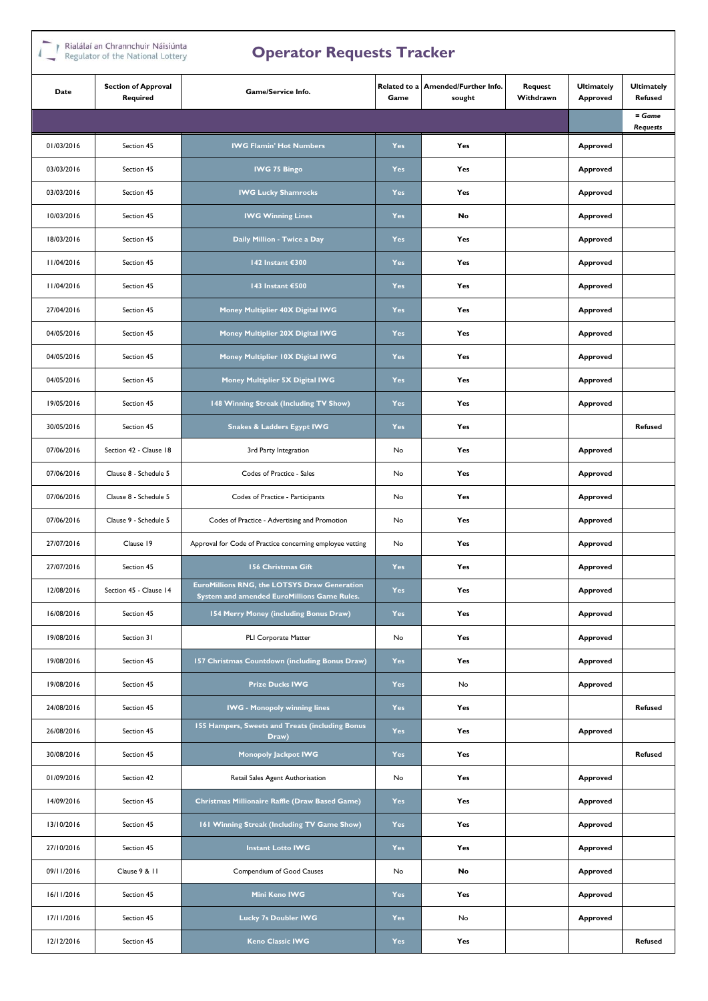# $\Gamma$  Rialálaí an Chrannchuir Náisiúnta

|            | " Regulator of the National Lottery<br>Operator nequests rracker |                                                                                             |            |                                              |                      |                               |                                     |
|------------|------------------------------------------------------------------|---------------------------------------------------------------------------------------------|------------|----------------------------------------------|----------------------|-------------------------------|-------------------------------------|
| Date       | <b>Section of Approval</b><br>Required                           | <b>Game/Service Info.</b>                                                                   | Game       | Related to a Amended/Further Info.<br>sought | Request<br>Withdrawn | <b>Ultimately</b><br>Approved | <b>Ultimately</b><br><b>Refused</b> |
|            |                                                                  |                                                                                             |            |                                              |                      |                               | = Game<br><b>Requests</b>           |
| 01/03/2016 | Section 45                                                       | <b>IWG Flamin' Hot Numbers</b>                                                              | Yes        | Yes                                          |                      | Approved                      |                                     |
| 03/03/2016 | Section 45                                                       | <b>IWG 75 Bingo</b>                                                                         | <b>Yes</b> | Yes                                          |                      | Approved                      |                                     |
| 03/03/2016 | Section 45                                                       | <b>IWG Lucky Shamrocks</b>                                                                  | Yes        | Yes                                          |                      | Approved                      |                                     |
| 10/03/2016 | Section 45                                                       | <b>IWG Winning Lines</b>                                                                    | <b>Yes</b> | No                                           |                      | Approved                      |                                     |
| 18/03/2016 | Section 45                                                       | Daily Million - Twice a Day                                                                 | Yes        | Yes                                          |                      | Approved                      |                                     |
| 11/04/2016 | Section 45                                                       | 142 Instant €300                                                                            | <b>Yes</b> | Yes                                          |                      | Approved                      |                                     |
| 11/04/2016 | Section 45                                                       | 143 Instant €500                                                                            | <b>Yes</b> | Yes                                          |                      | Approved                      |                                     |
| 27/04/2016 | Section 45                                                       | Money Multiplier 40X Digital IWG                                                            | Yes        | Yes                                          |                      | Approved                      |                                     |
| 04/05/2016 | Section 45                                                       | Money Multiplier 20X Digital IWG                                                            | Yes        | Yes                                          |                      | Approved                      |                                     |
| 04/05/2016 | Section 45                                                       | Money Multiplier 10X Digital IWG                                                            | Yes        | Yes                                          |                      | Approved                      |                                     |
| 04/05/2016 | Section 45                                                       | Money Multiplier 5X Digital IWG                                                             | <b>Yes</b> | Yes                                          |                      | Approved                      |                                     |
| 19/05/2016 | Section 45                                                       | 148 Winning Streak (Including TV Show)                                                      |            | Yes                                          |                      | Approved                      |                                     |
| 30/05/2016 | Section 45                                                       | <b>Snakes &amp; Ladders Egypt IWG</b>                                                       |            | Yes                                          |                      |                               | <b>Refused</b>                      |
| 07/06/2016 | Section 42 - Clause 18                                           | 3rd Party Integration                                                                       | No         | Yes                                          |                      | Approved                      |                                     |
| 07/06/2016 | Clause 8 - Schedule 5                                            | Codes of Practice - Sales                                                                   | No         | Yes                                          |                      | Approved                      |                                     |
| 07/06/2016 | Clause 8 - Schedule 5                                            | Codes of Practice - Participants                                                            | No         | Yes                                          |                      | Approved                      |                                     |
| 07/06/2016 | Clause 9 - Schedule 5                                            | Codes of Practice - Advertising and Promotion                                               | No         | Yes                                          |                      | Approved                      |                                     |
| 27/07/2016 | Clause 19                                                        | Approval for Code of Practice concerning employee vetting                                   | No         | Yes                                          |                      | Approved                      |                                     |
| 27/07/2016 | Section 45                                                       | 156 Christmas Gift                                                                          | Yes        | Yes                                          |                      | Approved                      |                                     |
| 12/08/2016 | Section 45 - Clause 14                                           | EuroMillions RNG, the LOTSYS Draw Generation<br>System and amended EuroMillions Game Rules. | Yes        | Yes                                          |                      | Approved                      |                                     |
| 16/08/2016 | Section 45                                                       | 154 Merry Money (including Bonus Draw)                                                      | Yes        | Yes                                          |                      | Approved                      |                                     |
| 19/08/2016 | Section 31                                                       | PLI Corporate Matter                                                                        | No         | Yes                                          |                      | Approved                      |                                     |
| 19/08/2016 | Section 45                                                       | 157 Christmas Countdown (including Bonus Draw)                                              | Yes        | Yes                                          |                      | Approved                      |                                     |
| 19/08/2016 | Section 45                                                       | <b>Prize Ducks IWG</b>                                                                      | Yes        | No                                           |                      | Approved                      |                                     |
| 24/08/2016 | Section 45                                                       | <b>IWG - Monopoly winning lines</b>                                                         | Yes        | Yes                                          |                      |                               | <b>Refused</b>                      |
| 26/08/2016 | Section 45                                                       | 155 Hampers, Sweets and Treats (including Bonus<br>Draw)                                    | Yes        | Yes                                          |                      | Approved                      |                                     |
| 30/08/2016 | Section 45                                                       | <b>Monopoly Jackpot IWG</b>                                                                 | <b>Yes</b> | Yes                                          |                      |                               | Refused                             |
| 01/09/2016 | Section 42                                                       | Retail Sales Agent Authorisation                                                            | No         | Yes                                          |                      | Approved                      |                                     |
| 14/09/2016 | Section 45                                                       | Christmas Millionaire Raffle (Draw Based Game)                                              | <b>Yes</b> | Yes                                          |                      | Approved                      |                                     |
| 13/10/2016 | Section 45                                                       | 161 Winning Streak (Including TV Game Show)                                                 | Yes        | Yes                                          |                      | Approved                      |                                     |
| 27/10/2016 | Section 45                                                       | <b>Instant Lotto IWG</b>                                                                    | Yes        | Yes                                          |                      | Approved                      |                                     |
| 09/11/2016 | Clause 9 & 11                                                    | Compendium of Good Causes                                                                   | No         | No                                           |                      | Approved                      |                                     |
| 16/11/2016 | Section 45                                                       | Mini Keno IWG                                                                               | <b>Yes</b> | Yes                                          |                      | Approved                      |                                     |
| 17/11/2016 | Section 45                                                       | <b>Lucky 7s Doubler IWG</b>                                                                 | <b>Yes</b> | No                                           |                      | <b>Approved</b>               |                                     |
| 12/12/2016 | Section 45                                                       | <b>Keno Classic IWG</b>                                                                     |            | Yes                                          |                      |                               | <b>Refused</b>                      |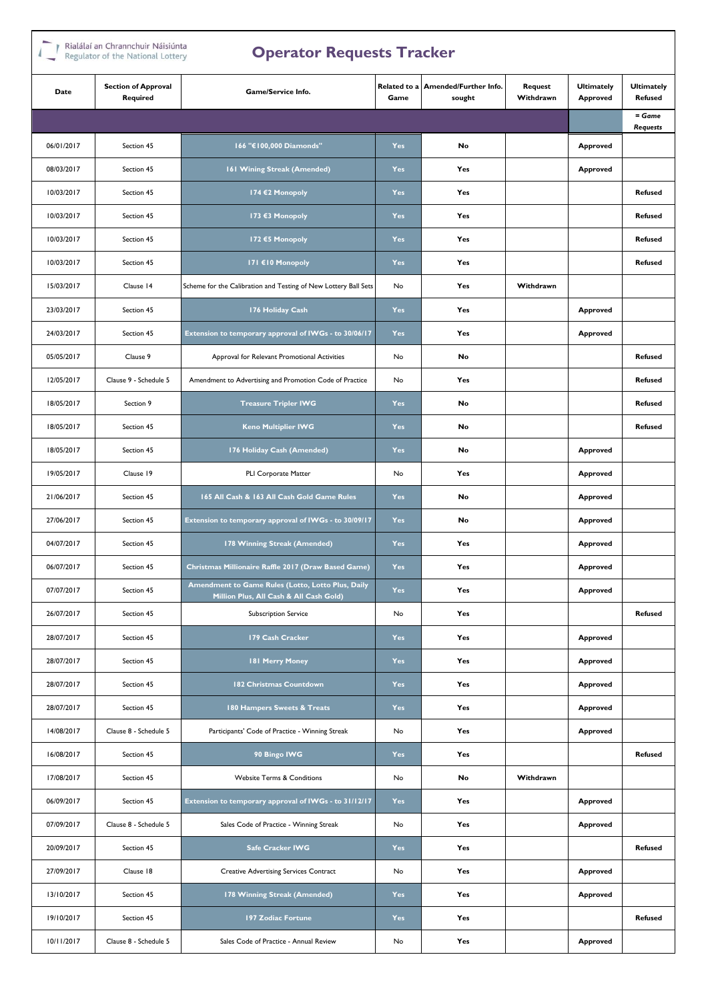| Rialálaí an Chrannchuir Náisiúnta |  |
|-----------------------------------|--|
| Regulator of the National Lottery |  |

| Rialálaí an Chrannchuir Náisiúnta<br><b>Operator Requests Tracker</b><br>Regulator of the National Lottery |                                        |                                                                                              |                      |                                 |                      |                               |                                     |
|------------------------------------------------------------------------------------------------------------|----------------------------------------|----------------------------------------------------------------------------------------------|----------------------|---------------------------------|----------------------|-------------------------------|-------------------------------------|
| Date                                                                                                       | <b>Section of Approval</b><br>Required | Game/Service Info.                                                                           | Related to a<br>Game | Amended/Further Info.<br>sought | Request<br>Withdrawn | <b>Ultimately</b><br>Approved | <b>Ultimately</b><br><b>Refused</b> |
|                                                                                                            |                                        |                                                                                              |                      |                                 |                      |                               | $=$ Game<br><b>Requests</b>         |
| 06/01/2017                                                                                                 | Section 45                             | 166 "€100,000 Diamonds"                                                                      | <b>Yes</b>           | No                              |                      | Approved                      |                                     |
| 08/03/2017                                                                                                 | Section 45                             | 161 Wining Streak (Amended)                                                                  | <b>Yes</b>           | Yes                             |                      | Approved                      |                                     |
| 10/03/2017                                                                                                 | Section 45                             | 174 €2 Monopoly                                                                              | <b>Yes</b>           | Yes                             |                      |                               | <b>Refused</b>                      |
| 10/03/2017                                                                                                 | Section 45                             | 173 €3 Monopoly                                                                              | <b>Yes</b>           | Yes                             |                      |                               | <b>Refused</b>                      |
| 10/03/2017                                                                                                 | Section 45                             | 172 €5 Monopoly                                                                              | <b>Yes</b>           | Yes                             |                      |                               | <b>Refused</b>                      |
| 10/03/2017                                                                                                 | Section 45                             | 171 €10 Monopoly                                                                             | <b>Yes</b>           | Yes                             |                      |                               | <b>Refused</b>                      |
| 15/03/2017                                                                                                 | Clause 14                              | Scheme for the Calibration and Testing of New Lottery Ball Sets                              | No                   | Yes                             | Withdrawn            |                               |                                     |
| 23/03/2017                                                                                                 | Section 45                             | 176 Holiday Cash                                                                             | <b>Yes</b>           | Yes                             |                      | Approved                      |                                     |
| 24/03/2017                                                                                                 | Section 45                             | Extension to temporary approval of IWGs - to 30/06/17                                        | <b>Yes</b>           | Yes                             |                      | Approved                      |                                     |
| 05/05/2017                                                                                                 | Clause 9                               | Approval for Relevant Promotional Activities                                                 | No                   | No                              |                      |                               | <b>Refused</b>                      |
| 12/05/2017                                                                                                 | Clause 9 - Schedule 5                  | Amendment to Advertising and Promotion Code of Practice                                      |                      | Yes                             |                      |                               | <b>Refused</b>                      |
| 18/05/2017                                                                                                 | Section 9                              | <b>Treasure Tripler IWG</b>                                                                  |                      | No                              |                      |                               | <b>Refused</b>                      |
| 18/05/2017                                                                                                 | Section 45                             | <b>Keno Multiplier IWG</b>                                                                   |                      | No                              |                      |                               | <b>Refused</b>                      |
| 18/05/2017                                                                                                 | Section 45                             | 176 Holiday Cash (Amended)                                                                   | <b>Yes</b>           | No                              |                      | Approved                      |                                     |
| 19/05/2017                                                                                                 | Clause 19                              | PLI Corporate Matter                                                                         | No                   | Yes                             |                      | Approved                      |                                     |
| 21/06/2017                                                                                                 | Section 45                             | 165 All Cash & 163 All Cash Gold Game Rules                                                  | <b>Yes</b>           | No                              |                      | Approved                      |                                     |
| 27/06/2017                                                                                                 | Section 45                             | Extension to temporary approval of IWGs - to 30/09/17                                        | <b>Yes</b>           | No                              |                      | Approved                      |                                     |
| 04/07/2017                                                                                                 | Section 45                             | 178 Winning Streak (Amended)                                                                 | <b>Yes</b>           | Yes                             |                      | Approved                      |                                     |
| 06/07/2017                                                                                                 | Section 45                             | Christmas Millionaire Raffle 2017 (Draw Based Game)                                          | Yes                  | Yes                             |                      | Approved                      |                                     |
| 07/07/2017                                                                                                 | Section 45                             | Amendment to Game Rules (Lotto, Lotto Plus, Daily<br>Million Plus, All Cash & All Cash Gold) | Yes                  | Yes                             |                      | Approved                      |                                     |
| 26/07/2017                                                                                                 | Section 45                             | <b>Subscription Service</b>                                                                  | No                   | Yes                             |                      |                               | <b>Refused</b>                      |
| 28/07/2017                                                                                                 | Section 45                             | 179 Cash Cracker                                                                             | <b>Yes</b>           | Yes                             |                      | Approved                      |                                     |
| 28/07/2017                                                                                                 | Section 45                             | 181 Merry Money                                                                              | Yes                  | Yes                             |                      | Approved                      |                                     |
| 28/07/2017                                                                                                 | Section 45                             | 182 Christmas Countdown                                                                      | Yes                  | Yes                             |                      | Approved                      |                                     |
| 28/07/2017                                                                                                 | Section 45                             | 180 Hampers Sweets & Treats                                                                  | Yes                  | Yes                             |                      | <b>Approved</b>               |                                     |
| 14/08/2017                                                                                                 | Clause 8 - Schedule 5                  | Participants' Code of Practice - Winning Streak                                              | No                   | Yes                             |                      | Approved                      |                                     |
| 16/08/2017                                                                                                 | Section 45                             | 90 Bingo IWG                                                                                 | <b>Yes</b>           | Yes                             |                      |                               | <b>Refused</b>                      |
| 17/08/2017                                                                                                 | Section 45                             | <b>Website Terms &amp; Conditions</b>                                                        | No                   | No                              | Withdrawn            |                               |                                     |
| 06/09/2017                                                                                                 | Section 45                             | Extension to temporary approval of IWGs - to 31/12/17                                        | Yes                  | Yes                             |                      | Approved                      |                                     |
| 07/09/2017                                                                                                 | Clause 8 - Schedule 5                  | Sales Code of Practice - Winning Streak                                                      | No                   | Yes                             |                      | Approved                      |                                     |
| 20/09/2017                                                                                                 | Section 45                             | <b>Safe Cracker IWG</b>                                                                      | Yes                  | Yes                             |                      |                               | <b>Refused</b>                      |
| 27/09/2017                                                                                                 | Clause 18                              | <b>Creative Advertising Services Contract</b>                                                | No                   | Yes                             |                      | Approved                      |                                     |
| 13/10/2017                                                                                                 | Section 45                             | 178 Winning Streak (Amended)                                                                 | Yes                  | Yes                             |                      | Approved                      |                                     |
| 19/10/2017                                                                                                 | Section 45                             | 197 Zodiac Fortune                                                                           | Yes                  | Yes                             |                      |                               | <b>Refused</b>                      |
| 10/11/2017                                                                                                 | Clause 8 - Schedule 5                  | Sales Code of Practice - Annual Review                                                       |                      | Yes                             |                      | Approved                      |                                     |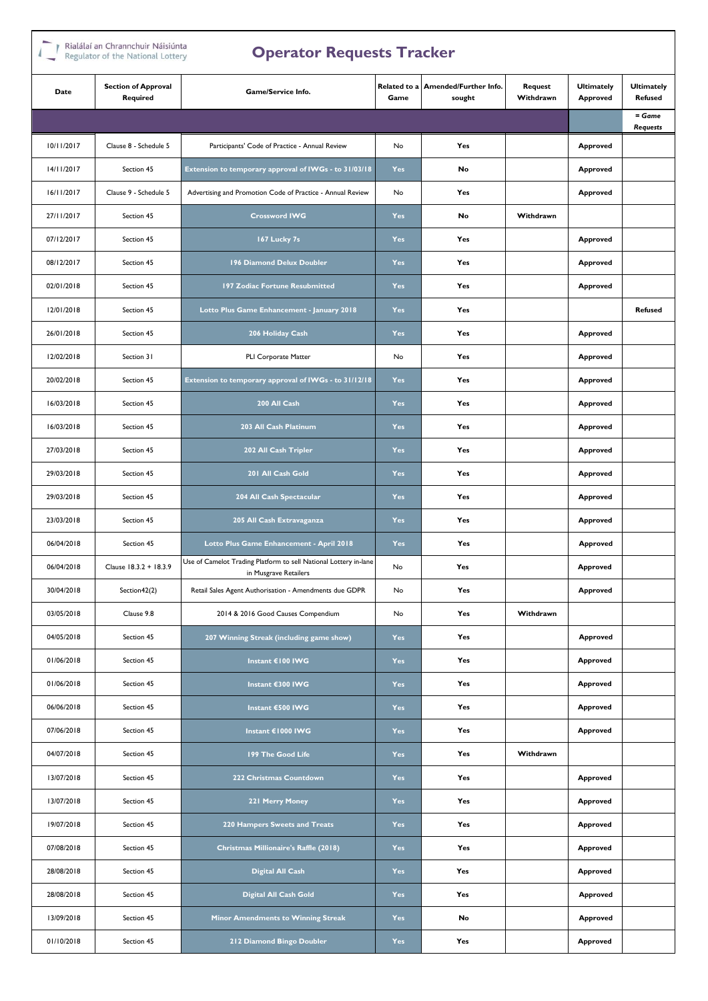## Rialálaí an Chrannchuir Náisiúnta

| Regulator of the National Lottery<br>$\epsilon$ |                                         |                                                                                           |                      |                                 |                      |                                      |                                     |
|-------------------------------------------------|-----------------------------------------|-------------------------------------------------------------------------------------------|----------------------|---------------------------------|----------------------|--------------------------------------|-------------------------------------|
| Date                                            | <b>Section of Approval</b><br>Required  | Game/Service Info.                                                                        | Related to a<br>Game | Amended/Further Info.<br>sought | Request<br>Withdrawn | <b>Ultimately</b><br><b>Approved</b> | <b>Ultimately</b><br><b>Refused</b> |
|                                                 |                                         |                                                                                           |                      |                                 |                      |                                      | $=$ Game<br><b>Requests</b>         |
| 10/11/2017                                      | Clause 8 - Schedule 5                   | Participants' Code of Practice - Annual Review                                            | No                   | Yes                             |                      | <b>Approved</b>                      |                                     |
| 14/11/2017                                      | Section 45                              | Extension to temporary approval of IWGs - to 31/03/18                                     | Yes                  | No                              |                      | <b>Approved</b>                      |                                     |
| 16/11/2017                                      | Clause 9 - Schedule 5                   | Advertising and Promotion Code of Practice - Annual Review                                | No                   | Yes                             |                      | Approved                             |                                     |
| 27/11/2017                                      | Section 45                              | <b>Crossword IWG</b>                                                                      | <b>Yes</b>           | No                              | Withdrawn            |                                      |                                     |
| 07/12/2017                                      | Section 45                              | 167 Lucky 7s                                                                              | Yes                  | Yes                             |                      | Approved                             |                                     |
| 08/12/2017                                      | Section 45                              | 196 Diamond Delux Doubler                                                                 | <b>Yes</b>           | Yes                             |                      | <b>Approved</b>                      |                                     |
| 02/01/2018                                      | Section 45                              | 197 Zodiac Fortune Resubmitted                                                            | Yes                  | Yes                             |                      | <b>Approved</b>                      |                                     |
| 12/01/2018                                      | Section 45                              | Lotto Plus Game Enhancement - January 2018                                                | <b>Yes</b>           | Yes                             |                      |                                      | <b>Refused</b>                      |
| 26/01/2018                                      | Section 45                              | 206 Holiday Cash                                                                          | Yes                  | Yes                             |                      | <b>Approved</b>                      |                                     |
| 12/02/2018                                      | Section 31                              | PLI Corporate Matter                                                                      | No                   | Yes                             |                      | Approved                             |                                     |
| 20/02/2018                                      | Section 45                              | Extension to temporary approval of IWGs - to 31/12/18                                     | <b>Yes</b>           | Yes                             |                      | <b>Approved</b>                      |                                     |
| 16/03/2018                                      | Section 45                              | 200 All Cash                                                                              |                      | Yes                             |                      | <b>Approved</b>                      |                                     |
| 16/03/2018                                      | Section 45                              | 203 All Cash Platinum                                                                     |                      | Yes                             |                      | <b>Approved</b>                      |                                     |
| 27/03/2018                                      | Section 45                              | 202 All Cash Tripler                                                                      |                      | Yes                             |                      | <b>Approved</b>                      |                                     |
| 29/03/2018                                      | Section 45                              | 201 All Cash Gold                                                                         |                      | Yes                             |                      | <b>Approved</b>                      |                                     |
| 29/03/2018                                      | Section 45                              | 204 All Cash Spectacular                                                                  | <b>Yes</b>           | Yes                             |                      | <b>Approved</b>                      |                                     |
| 23/03/2018                                      | Section 45                              | 205 All Cash Extravaganza                                                                 | <b>Yes</b>           | Yes                             |                      | <b>Approved</b>                      |                                     |
| 06/04/2018                                      | Section 45                              | Lotto Plus Game Enhancement - April 2018                                                  | Yes                  | Yes                             |                      | Approved                             |                                     |
| 06/04/2018                                      | Clause 18.3.2 + 18.3.9                  | Use of Camelot Trading Platform to sell National Lottery in-lane<br>in Musgrave Retailers |                      | Yes                             |                      | <b>Approved</b>                      |                                     |
| 30/04/2018                                      | Section42(2)                            | Retail Sales Agent Authorisation - Amendments due GDPR                                    | No                   | Yes                             |                      | <b>Approved</b>                      |                                     |
| 03/05/2018                                      | Clause 9.8                              | 2014 & 2016 Good Causes Compendium                                                        | No                   | Yes                             | Withdrawn            |                                      |                                     |
| 04/05/2018                                      | Section 45                              | 207 Winning Streak (including game show)                                                  | <b>Yes</b>           | Yes                             |                      | Approved                             |                                     |
| 01/06/2018                                      | Section 45                              | Instant €100 IWG                                                                          | Yes                  | Yes                             |                      | Approved                             |                                     |
| 01/06/2018                                      | Section 45                              | Instant €300 IWG                                                                          | <b>Yes</b>           | Yes                             |                      | <b>Approved</b>                      |                                     |
| 06/06/2018                                      | Section 45                              | Instant €500 IWG                                                                          | Yes                  | Yes                             |                      | Approved                             |                                     |
| 07/06/2018                                      | Section 45                              | Instant €1000 IWG                                                                         | Yes                  | Yes                             |                      | Approved                             |                                     |
| 04/07/2018                                      | Section 45                              | 199 The Good Life                                                                         | <b>Yes</b>           | Yes                             | Withdrawn            |                                      |                                     |
| 13/07/2018                                      | Section 45                              | 222 Christmas Countdown                                                                   | Yes                  | Yes                             |                      | <b>Approved</b>                      |                                     |
| 13/07/2018                                      | Section 45                              | 221 Merry Money                                                                           | <b>Yes</b>           | Yes                             |                      | <b>Approved</b>                      |                                     |
| 19/07/2018                                      | Section 45                              | 220 Hampers Sweets and Treats                                                             | Yes                  | Yes                             |                      | Approved                             |                                     |
| 07/08/2018                                      | Section 45                              | Christmas Millionaire's Raffle (2018)                                                     | <b>Yes</b>           | Yes                             |                      | <b>Approved</b>                      |                                     |
| 28/08/2018                                      | Section 45                              | <b>Digital All Cash</b>                                                                   | Yes                  | Yes                             |                      | Approved                             |                                     |
| 28/08/2018                                      | Section 45                              | <b>Digital All Cash Gold</b>                                                              | Yes                  | Yes                             |                      | Approved                             |                                     |
| 13/09/2018                                      | Section 45                              | Minor Amendments to Winning Streak                                                        | Yes                  | No                              |                      | Approved                             |                                     |
| 01/10/2018                                      | Section 45<br>212 Diamond Bingo Doubler |                                                                                           | Yes                  | Yes                             |                      | Approved                             |                                     |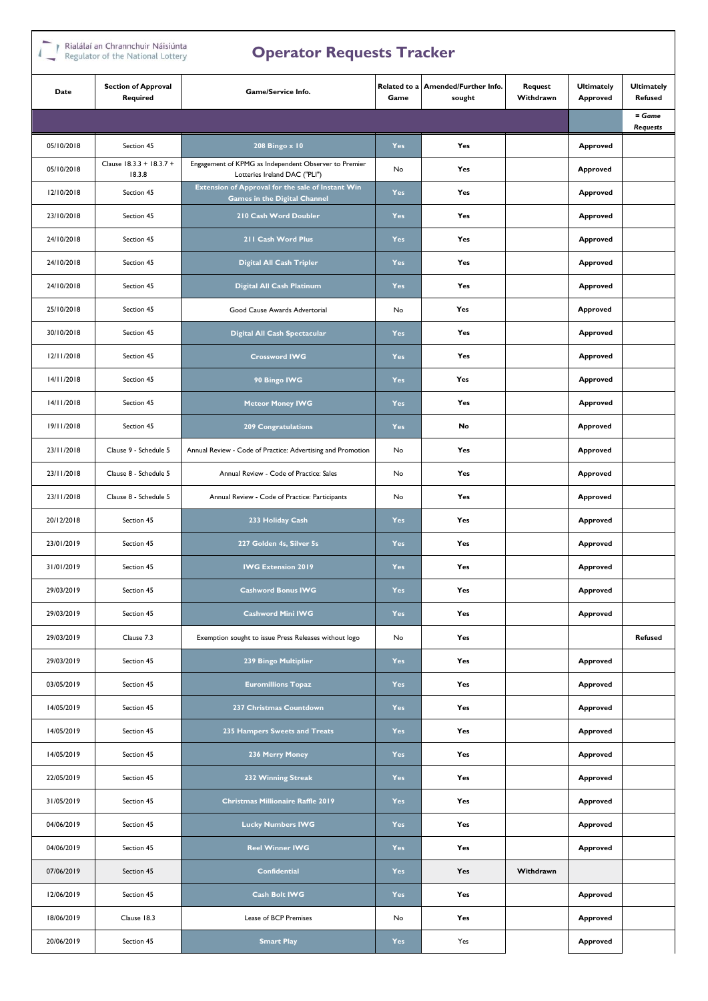## Rialálaí an Chrannchuir Náisiúnta

|            | Regulator of the National Lottery<br>$\epsilon$ |                                                                                          |                      |                                 |                      |                               |                                     |
|------------|-------------------------------------------------|------------------------------------------------------------------------------------------|----------------------|---------------------------------|----------------------|-------------------------------|-------------------------------------|
| Date       | <b>Section of Approval</b><br>Required          | Game/Service Info.                                                                       | Related to a<br>Game | Amended/Further Info.<br>sought | Request<br>Withdrawn | <b>Ultimately</b><br>Approved | <b>Ultimately</b><br><b>Refused</b> |
|            |                                                 |                                                                                          |                      |                                 |                      |                               | $=$ Game<br><b>Requests</b>         |
| 05/10/2018 | Section 45                                      | 208 Bingo x 10                                                                           | <b>Yes</b>           | Yes                             |                      | Approved                      |                                     |
| 05/10/2018 | Clause 18.3.3 + 18.3.7 +<br>18.3.8              | Engagement of KPMG as Independent Observer to Premier<br>Lotteries Ireland DAC ("PLI")   | No                   | Yes                             |                      | <b>Approved</b>               |                                     |
| 12/10/2018 | Section 45                                      | Extension of Approval for the sale of Instant Win<br><b>Games in the Digital Channel</b> | Yes                  | Yes                             |                      | Approved                      |                                     |
| 23/10/2018 | Section 45                                      | 210 Cash Word Doubler                                                                    | <b>Yes</b>           | Yes                             |                      | Approved                      |                                     |
| 24/10/2018 | Section 45                                      | 211 Cash Word Plus                                                                       | Yes                  | Yes                             |                      | Approved                      |                                     |
| 24/10/2018 | Section 45                                      | Digital All Cash Tripler                                                                 | <b>Yes</b>           | Yes                             |                      | Approved                      |                                     |
| 24/10/2018 | Section 45                                      | Digital All Cash Platinum                                                                | Yes                  | Yes                             |                      | Approved                      |                                     |
| 25/10/2018 | Section 45                                      | Good Cause Awards Advertorial                                                            | No                   | Yes                             |                      | <b>Approved</b>               |                                     |
| 30/10/2018 | Section 45                                      | Digital All Cash Spectacular                                                             | Yes                  | Yes                             |                      | Approved                      |                                     |
| 12/11/2018 | Section 45                                      | <b>Crossword IWG</b>                                                                     | Yes                  | Yes                             |                      | Approved                      |                                     |
| 14/11/2018 | Section 45                                      | 90 Bingo IWG                                                                             | <b>Yes</b>           | Yes                             |                      | Approved                      |                                     |
| 14/11/2018 | Section 45                                      | <b>Meteor Money IWG</b>                                                                  |                      | Yes                             |                      | Approved                      |                                     |
| 19/11/2018 | Section 45                                      | <b>209 Congratulations</b>                                                               |                      | No                              |                      | <b>Approved</b>               |                                     |
| 23/11/2018 | Clause 9 - Schedule 5                           | Annual Review - Code of Practice: Advertising and Promotion                              | No                   | Yes                             |                      | <b>Approved</b>               |                                     |
| 23/11/2018 | Clause 8 - Schedule 5                           | Annual Review - Code of Practice: Sales                                                  | No                   | Yes                             |                      | <b>Approved</b>               |                                     |
| 23/11/2018 | Clause 8 - Schedule 5                           | Annual Review - Code of Practice: Participants                                           | No                   | Yes                             |                      | <b>Approved</b>               |                                     |
| 20/12/2018 | Section 45                                      | 233 Holiday Cash                                                                         | <b>Yes</b>           | Yes                             |                      | <b>Approved</b>               |                                     |
| 23/01/2019 | Section 45                                      | 227 Golden 4s, Silver 5s                                                                 | <b>Yes</b>           | Yes                             |                      | Approved                      |                                     |
| 31/01/2019 | Section 45                                      | <b>IWG Extension 2019</b>                                                                | Yes                  | Yes                             |                      | Approved                      |                                     |
| 29/03/2019 | Section 45                                      | Cashword Bonus IWG                                                                       | Yes                  | Yes                             |                      | <b>Approved</b>               |                                     |
| 29/03/2019 | Section 45                                      | <b>Cashword Mini IWG</b>                                                                 | Yes                  | Yes                             |                      | Approved                      |                                     |
| 29/03/2019 | Clause 7.3                                      | Exemption sought to issue Press Releases without logo                                    | No                   | Yes                             |                      |                               | <b>Refused</b>                      |
| 29/03/2019 | Section 45                                      | 239 Bingo Multiplier                                                                     | Yes                  | Yes                             |                      | Approved                      |                                     |
| 03/05/2019 | Section 45                                      | <b>Euromillions Topaz</b>                                                                | <b>Yes</b>           | Yes                             |                      | Approved                      |                                     |
| 14/05/2019 | Section 45                                      | 237 Christmas Countdown                                                                  | Yes                  | Yes                             |                      | Approved                      |                                     |
| 14/05/2019 | Section 45                                      | 235 Hampers Sweets and Treats                                                            | <b>Yes</b>           | Yes                             |                      | Approved                      |                                     |
| 14/05/2019 | Section 45                                      | 236 Merry Money                                                                          | <b>Yes</b>           | Yes                             |                      | Approved                      |                                     |
| 22/05/2019 | Section 45                                      | 232 Winning Streak                                                                       | Yes                  | Yes                             |                      | Approved                      |                                     |
| 31/05/2019 | Section 45                                      | <b>Christmas Millionaire Raffle 2019</b>                                                 | <b>Yes</b>           | Yes                             |                      | Approved                      |                                     |
| 04/06/2019 | Section 45                                      | <b>Lucky Numbers IWG</b>                                                                 | Yes                  | Yes                             |                      | Approved                      |                                     |
| 04/06/2019 | Section 45                                      | <b>Reel Winner IWG</b>                                                                   | <b>Yes</b>           | Yes                             |                      | Approved                      |                                     |
| 07/06/2019 | Section 45                                      | Confidential                                                                             | Yes                  | Yes                             | Withdrawn            |                               |                                     |
| 12/06/2019 | Section 45                                      | Cash Bolt IWG                                                                            | <b>Yes</b>           | Yes                             |                      | Approved                      |                                     |
| 18/06/2019 | Clause 18.3                                     | Lease of BCP Premises                                                                    | No                   | Yes                             |                      | Approved                      |                                     |
| 20/06/2019 | Section 45<br><b>Smart Play</b>                 |                                                                                          | Yes                  | Yes                             |                      | <b>Approved</b>               |                                     |